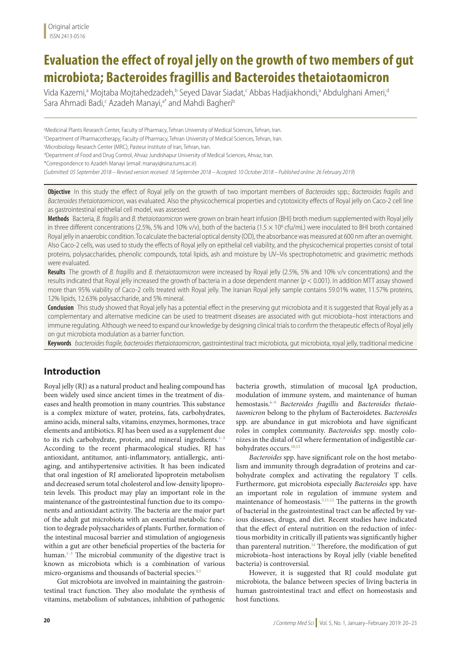# **Evaluation the effect of royal jelly on the growth of two members of gut microbiota; Bacteroides fragillis and Bacteroides thetaiotaomicron**

Vida Kazemi,ª Mojtaba Mojtahedzadeh,ʰ Seyed Davar Siadat,< Abbas Hadjiakhondi,ª Abdulghani Ameri,ª Sara Ahmadi Badi,<sup>c</sup> Azadeh Manayi,<sup>a\*</sup> and Mahdi Bagheri<sup>b</sup>

a Medicinal Plants Research Center, Faculty of Pharmacy, Tehran University of Medical Sciences, Tehran, Iran.

b Department of Pharmacotherapy, Faculty of Pharmacy, Tehran University of Medical Sciences, Tehran, Iran.

c Microbiology Research Center (MRC), Pasteur Institute of Iran, Tehran, Iran.

d Department of Food and Drug Control, Ahvaz Jundishapur University of Medical Sciences, Ahvaz, Iran.

\*Correspondence to Azadeh Manayi (email: manayi@sina.tums.ac.ir).

(*Submitted: 05 September 2018 – Revised version received: 18 September 2018 – Accepted: 10 October 2018 – Published online: 26 February 2019*)

**Objective** In this study the effect of Royal jelly on the growth of two important members of *Bacteroides* spp.; *Bacteroides fragilis* and *Bacteroides thetaiotaomicron*, was evaluated. Also the physicochemical properties and cytotoxicity effects of Royal jelly on Caco-2 cell line as gastrointestinal epithelial cell model, was assessed.

**Methods** Bacteria, *B. fragilis* and *B. thetaiotaomicron* were grown on brain heart infusion (BHI) broth medium supplemented with Royal jelly in three different concentrations (2.5%, 5% and 10% v/v), both of the bacteria (1.5  $\times$  10<sup>8</sup> cfu/mL) were inoculated to BHI broth contained Royal jelly in anaerobic condition. To calculate the bacterial optical density (OD), the absorbance was measured at 600 nm after an overnight. Also Caco-2 cells, was used to study the effects of Royal jelly on epithelial cell viability, and the physicochemical properties consist of total proteins, polysaccharides, phenolic compounds, total lipids, ash and moisture by UV–Vis spectrophotometric and gravimetric methods were evaluated.

**Results** The growth of *B. fragillis* and *B. thetaiotaomicron* were increased by Royal jelly (2.5%, 5% and 10% v/v concentrations) and the results indicated that Royal jelly increased the growth of bacteria in a dose dependent manner (*p* < 0.001). In addition MTT assay showed more than 95% viability of Caco-2 cells treated with Royal jelly. The Iranian Royal jelly sample contains 59.01% water, 11.57% proteins, 12% lipids, 12.63% polysaccharide, and 5% mineral.

**Conclusion** This study showed that Royal jelly has a potential effect in the preserving gut microbiota and it is suggested that Royal jelly as a complementary and alternative medicine can be used to treatment diseases are associated with gut microbiota–host interactions and immune regulating. Although we need to expand our knowledge by designing clinical trials to confirm the therapeutic effects of Royal jelly on gut microbiota modulation as a barrier function.

**Keywords** *bacteroides fragile, bacteroides thetaiotaomicron*, gastrointestinal tract microbiota, gut microbiota, royal jelly, traditional medicine

# **Introduction**

Royal jelly (RJ) as a natural product and healing compound has been widely used since ancient times in the treatment of diseases and health promotion in many countries. This substance is a complex mixture of water, proteins, fats, carbohydrates, amino acids, mineral salts, vitamins, enzymes, hormones, trace elements and antibiotics. RJ has been used as a supplement due to its rich carbohydrate, protein, and mineral ingredients.<sup>1-3</sup> According to the recent pharmacological studies, RJ has antioxidant, antitumor, anti-inflammatory, antiallergic, antiaging, and antihypertensive activities. It has been indicated that oral ingestion of RJ ameliorated lipoprotein metabolism and decreased serum total cholesterol and low-density lipoprotein levels. This product may play an important role in the maintenance of the gastrointestinal function due to its components and antioxidant activity. The bacteria are the major part of the adult gut microbiota with an essential metabolic function to degrade polysaccharides of plants. Further, formation of the intestinal mucosal barrier and stimulation of angiogenesis within a gut are other beneficial properties of the bacteria for human.<sup>1-3</sup> The microbial community of the digestive tract is known as microbiota which is a combination of various micro-organisms and thousands of bacterial species.<sup>4,5</sup>

Gut microbiota are involved in maintaining the gastrointestinal tract function. They also modulate the synthesis of vitamins, metabolism of substances, inhibition of pathogenic

bacteria growth, stimulation of mucosal IgA production, modulation of immune system, and maintenance of human hemostasis.6–9 *Bacteroides fragillis* and *Bacteroides thetaiotaomicron* belong to the phylum of Bacteroidetes. *Bacteroides* spp. are abundance in gut microbiota and have significant roles in complex community. *Bacteroides* spp. mostly colonizes in the distal of GI where fermentation of indigestible carbohydrates occurs.10,11

*Bacteroides* spp. have significant role on the host metabolism and immunity through degradation of proteins and carbohydrate complex and activating the regulatory T cells. Furthermore, gut microbiota especially *Bacteroides* spp. have an important role in regulation of immune system and maintenance of homeostasis.5,11,12 The patterns in the growth of bacterial in the gastrointestinal tract can be affected by various diseases, drugs, and diet. Recent studies have indicated that the effect of enteral nutrition on the reduction of infectious morbidity in critically ill patients was significantly higher than parenteral nutrition.<sup>14</sup> Therefore, the modification of gut microbiota–host interactions by Royal jelly (viable benefited bacteria) is controversial.

However, it is suggested that RJ could modulate gut microbiota, the balance between species of living bacteria in human gastrointestinal tract and effect on homeostasis and host functions.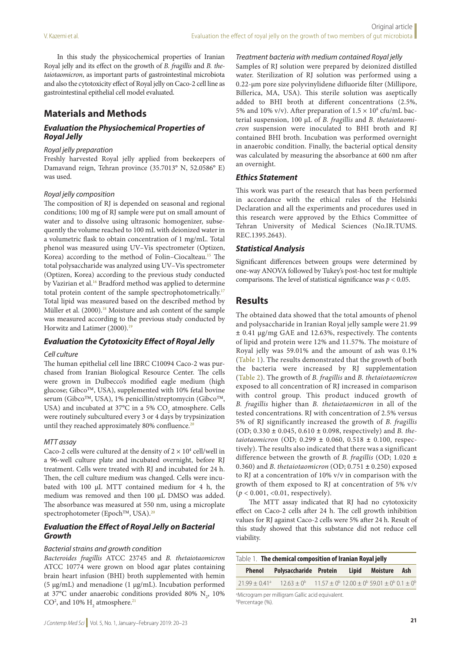In this study the physicochemical properties of Iranian Royal jelly and its effect on the growth of *B. fragillis* and *B. thetaiotaomicron*, as important parts of gastrointestinal microbiota and also the cytotoxicity effect of Royal jelly on Caco-2 cell line as gastrointestinal epithelial cell model evaluated.

# **Materials and Methods**

## *Evaluation the Physiochemical Properties of Royal Jelly*

### *Royal jelly preparation*

Freshly harvested Royal jelly applied from beekeepers of Damavand reign, Tehran province (35.7013° N, 52.0586° E) was used.

### *Royal jelly composition*

The composition of RJ is depended on seasonal and regional conditions; 100 mg of RJ sample were put on small amount of water and to dissolve using ultrasonic homogenizer, subsequently the volume reached to 100 mL with deionized water in a volumetric flask to obtain concentration of 1 mg/mL. Total phenol was measured using UV–Vis spectrometer (Optizen, Korea) according to the method of Folin–Ciocalteau.15 The total polysaccharide was analyzed using UV–Vis spectrometer (Optizen, Korea) according to the previous study conducted by Vazirian et al.<sup>16</sup> Bradford method was applied to determine total protein content of the sample spectrophotometrically.<sup>17</sup> Total lipid was measured based on the described method by Müller et al. (2000).<sup>18</sup> Moisture and ash content of the sample was measured according to the previous study conducted by Horwitz and Latimer (2000).<sup>19</sup>

### *Evaluation the Cytotoxicity Effect of Royal Jelly*

#### *Cell culture*

The human epithelial cell line IBRC C10094 Caco-2 was purchased from Iranian Biological Resource Center. The cells were grown in Dulbecco's modified eagle medium (high glucose; Gibco™, USA), supplemented with 10% fetal bovine serum (Gibco™, USA), 1% penicillin/streptomycin (Gibco™, USA) and incubated at 37°C in a 5%  $\text{CO}_2$  atmosphere. Cells were routinely subcultured every 3 or 4 days by trypsinization until they reached approximately 80% confluence.<sup>20</sup>

### *MTT assay*

Caco-2 cells were cultured at the density of  $2 \times 10^4$  cell/well in a 96-well culture plate and incubated overnight, before RJ treatment. Cells were treated with RJ and incubated for 24 h. Then, the cell culture medium was changed. Cells were incubated with 100 µL MTT contained medium for 4 h, the medium was removed and then 100 µL DMSO was added. The absorbance was measured at 550 nm, using a microplate spectrophotometer (Epoch<sup>TM</sup>, USA).<sup>20</sup>

### *Evaluation the Effect of Royal Jelly on Bacterial Growth*

#### *Bacterial strains and growth condition*

*Bacteroides fragillis* ATCC 23745 and *B. thetaiotaomicron* ATCC 10774 were grown on blood agar plates containing brain heart infusion (BHI) broth supplemented with hemin (5 µg/mL) and menadione (1 µg/mL). Incubation performed at 37°C under anaerobic conditions provided 80%  $\mathrm{N}_2$ , 10% CO<sup>2</sup>, and 10%  $\text{H}_{2}$  atmosphere.<sup>21</sup>

*Treatment bacteria with medium contained Royal jelly* Samples of RJ solution were prepared by deionized distilled water. Sterilization of RJ solution was performed using a 0.22-µm pore size polyvinylidene difluoride filter (Millipore, Billerica, MA, USA). This sterile solution was aseptically added to BHI broth at different concentrations (2.5%, 5% and 10% v/v). After preparation of  $1.5 \times 10^8$  cfu/mL bacterial suspension, 100 µL of *B. fragillis* and *B. thetaiotaomicron* suspension were inoculated to BHI broth and RJ contained BHI broth. Incubation was performed overnight in anaerobic condition. Finally, the bacterial optical density was calculated by measuring the absorbance at 600 nm after an overnight.

### *Ethics Statement*

This work was part of the research that has been performed in accordance with the ethical rules of the Helsinki Declaration and all the experiments and procedures used in this research were approved by the Ethics Committee of Tehran University of Medical Sciences (No.IR.TUMS. REC.1395.2643).

### *Statistical Analysis*

Significant differences between groups were determined by one-way ANOVA followed by Tukey's post-hoc test for multiple comparisons. The level of statistical significance was *p* < 0.05.

# **Results**

The obtained data showed that the total amounts of phenol and polysaccharide in Iranian Royal jelly sample were 21.99 **±** 0.41 µg/mg GAE and 12.63%, respectively. The contents of lipid and protein were 12% and 11.57%. The moisture of Royal jelly was 59.01% and the amount of ash was 0.1% (Table 1). The results demonstrated that the growth of both the bacteria were increased by RJ supplementation (Table 2). The growth of *B. fragillis* and *B. thetaiotaomicron* exposed to all concentration of RJ increased in comparison with control group. This product induced growth of *B. fragillis* higher than *B. thetaiotaomicron* in all of the tested concentrations. RJ with concentration of 2.5% versus 5% of RJ significantly increased the growth of *B. fragillis* (OD; 0.330 **±** 0.045, 0.610 **±** 0.098, respectively) and *B. thetaiotaomicron* (OD; 0.299 **±** 0.060, 0.518 **±** 0.100, respectively). The results also indicated that there was a significant difference between the growth of *B. fragillis* (OD; 1.020 **±** 0.360) and *B. thetaiotaomicron* (OD; 0.751 **±** 0.250) exposed to RJ at a concentration of 10% v/v in comparison with the growth of them exposed to RJ at concentration of 5% v/v (*p* < 0.001, <0.01, respectively).

The MTT assay indicated that RJ had no cytotoxicity effect on Caco-2 cells after 24 h. The cell growth inhibition values for RJ against Caco-2 cells were 5% after 24 h. Result of this study showed that this substance did not reduce cell viability.

| Table 1. The chemical composition of Iranian Royal jelly                  |  |                                                                                                                                      |  |                |  |     |  |  |  |
|---------------------------------------------------------------------------|--|--------------------------------------------------------------------------------------------------------------------------------------|--|----------------|--|-----|--|--|--|
| Phenol                                                                    |  | Polysaccharide Protein                                                                                                               |  | Lipid Moisture |  | Ash |  |  |  |
|                                                                           |  | $21.99 \pm 0.41^{\circ}$ $12.63 \pm 0^{\circ}$ $11.57 \pm 0^{\circ}$ $12.00 \pm 0^{\circ}$ 59.01 $\pm 0^{\circ}$ 0.1 $\pm 0^{\circ}$ |  |                |  |     |  |  |  |
| <sup>a</sup> Microgram per milligram Gallic acid equivalent.<br>$hD$ (0/) |  |                                                                                                                                      |  |                |  |     |  |  |  |

b Percentage (%).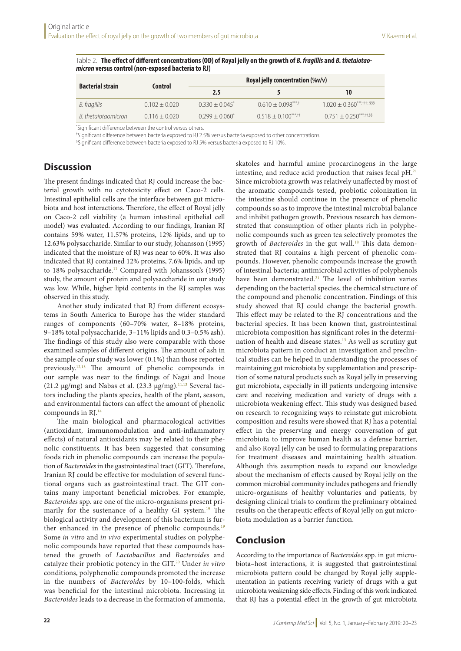| <b>Bacterial strain</b> | Control         | Royal jelly concentration (%v/v) |                    |                                 |  |
|-------------------------|-----------------|----------------------------------|--------------------|---------------------------------|--|
|                         |                 | 2.5                              |                    | 10                              |  |
| B. fragillis            | $0.102 + 0.020$ | $0.330 + 0.045$ <sup>*</sup>     | $0.610 + 0.098***$ | $1.020 + 0.360***$ , 11, \$\$\$ |  |
| B. thetaiotaomicron     | $0.116 + 0.020$ | $0.299 + 0.060^*$                | $0.518 + 0.100***$ | $0.751 + 0.250***$ , + 5.58     |  |

Table 2. **The effect of different concentrations (OD) of Royal jelly on the growth of** *B. fragillis* **and** *B. thetaiotao- micron* **versus control (non-exposed bacteria to RJ)**

\* Significant difference between the control versus others.

† Significant difference between bacteria exposed to RJ 2.5% versus bacteria exposed to other concentrations.

§ Significant difference between bacteria exposed to RJ 5% versus bacteria exposed to RJ 10%.

# **Discussion**

The present findings indicated that RJ could increase the bacterial growth with no cytotoxicity effect on Caco-2 cells. Intestinal epithelial cells are the interface between gut microbiota and host interactions. Therefore, the effect of Royal jelly on Caco-2 cell viability (a human intestinal epithelial cell model) was evaluated. According to our findings, Iranian RJ contains 59% water, 11.57% proteins, 12% lipids, and up to 12.63% polysaccharide. Similar to our study, Johansson (1995) indicated that the moisture of RJ was near to 60%. It was also indicated that RJ contained 12% proteins, 7.6% lipids, and up to 18% polysaccharide.<sup>11</sup> Compared with Johansson's (1995) study, the amount of protein and polysaccharide in our study was low. While, higher lipid contents in the RJ samples was observed in this study.

Another study indicated that RJ from different ecosystems in South America to Europe has the wider standard ranges of components (60–70% water, 8–18% proteins, 9–18% total polysaccharide, 3–11% lipids and 0.3–0.5% ash). The findings of this study also were comparable with those examined samples of different origins. The amount of ash in the sample of our study was lower (0.1%) than those reported previously.12,13 The amount of phenolic compounds in our sample was near to the findings of Nagai and Inoue (21.2 μg/mg) and Nabas et al. (23.3 μg/mg).<sup>11,13</sup> Several factors including the plants species, health of the plant, season, and environmental factors can affect the amount of phenolic compounds in RJ.14

The main biological and pharmacological activities (antioxidant, immunomodulation and anti-inflammatory effects) of natural antioxidants may be related to their phenolic constituents. It has been suggested that consuming foods rich in phenolic compounds can increase the population of *Bacteroides* in the gastrointestinal tract (GIT). Therefore, Iranian RJ could be effective for modulation of several functional organs such as gastrointestinal tract. The GIT contains many important beneficial microbes. For example, *Bacteroides* spp. are one of the micro-organisms present primarily for the sustenance of a healthy GI system.<sup>19</sup> The biological activity and development of this bacterium is further enhanced in the presence of phenolic compounds.<sup>19</sup> Some *in vitro* and *in vivo* experimental studies on polyphenolic compounds have reported that these compounds hastened the growth of *Lactobacillus* and *Bacteroides* and catalyze their probiotic potency in the GIT.20 Under *in vitro* conditions, polyphenolic compounds promoted the increase in the numbers of *Bacteroides* by 10–100-folds, which was beneficial for the intestinal microbiota. Increasing in *Bacteroides* leads to a decrease in the formation of ammonia,

skatoles and harmful amine procarcinogens in the large intestine, and reduce acid production that raises fecal pH.21 Since microbiota growth was relatively unaffected by most of the aromatic compounds tested, probiotic colonization in the intestine should continue in the presence of phenolic compounds so as to improve the intestinal microbial balance and inhibit pathogen growth. Previous research has demonstrated that consumption of other plants rich in polyphenolic compounds such as green tea selectively promotes the growth of *Bacteroides* in the gut wall.<sup>18</sup> This data demonstrated that RJ contains a high percent of phenolic compounds. However, phenolic compounds increase the growth of intestinal bacteria; antimicrobial activities of polyphenols have been demonstrated.<sup>21</sup> The level of inhibition varies depending on the bacterial species, the chemical structure of the compound and phenolic concentration. Findings of this study showed that RJ could change the bacterial growth. This effect may be related to the RJ concentrations and the bacterial species. It has been known that, gastrointestinal microbiota composition has significant roles in the determination of health and disease states.13 As well as scrutiny gut microbiota pattern in conduct an investigation and preclinical studies can be helped in understanding the processes of maintaining gut microbiota by supplementation and prescription of some natural products such as Royal jelly in preserving gut microbiota, especially in ill patients undergoing intensive care and receiving medication and variety of drugs with a microbiota weakening effect. This study was designed based on research to recognizing ways to reinstate gut microbiota composition and results were showed that RJ has a potential effect in the preserving and energy conversation of gut microbiota to improve human health as a defense barrier, and also Royal jelly can be used to formulating preparations for treatment diseases and maintaining health situation. Although this assumption needs to expand our knowledge about the mechanism of effects caused by Royal jelly on the common microbial community includes pathogens and friendly micro-organisms of healthy voluntaries and patients, by designing clinical trials to confirm the preliminary obtained results on the therapeutic effects of Royal jelly on gut microbiota modulation as a barrier function.

# **Conclusion**

According to the importance of *Bacteroides* spp. in gut microbiota–host interactions, it is suggested that gastrointestinal microbiota pattern could be changed by Royal jelly supplementation in patients receiving variety of drugs with a gut microbiota weakening side effects. Finding of this work indicated that RJ has a potential effect in the growth of gut microbiota